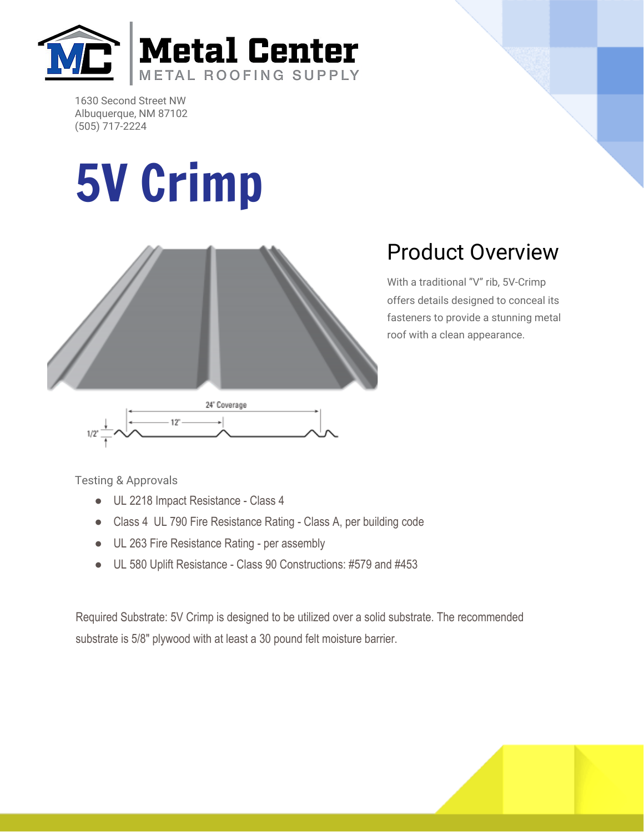

1630 Second Street NW Albuquerque, NM 87102 (505) 717-2224

## 5V Crimp



## Product Overview

With a traditional "V" rib, 5V-Crimp offers details designed to conceal its fasteners to provide a stunning metal roof with a clean appearance.

Testing & Approvals

- UL 2218 Impact Resistance Class 4
- Class 4 UL 790 Fire Resistance Rating Class A, per building code
- UL 263 Fire Resistance Rating per assembly
- UL 580 Uplift Resistance Class 90 Constructions: #579 and #453

Required Substrate: 5V Crimp is designed to be utilized over a solid substrate. The recommended substrate is 5/8" plywood with at least a 30 pound felt moisture barrier.

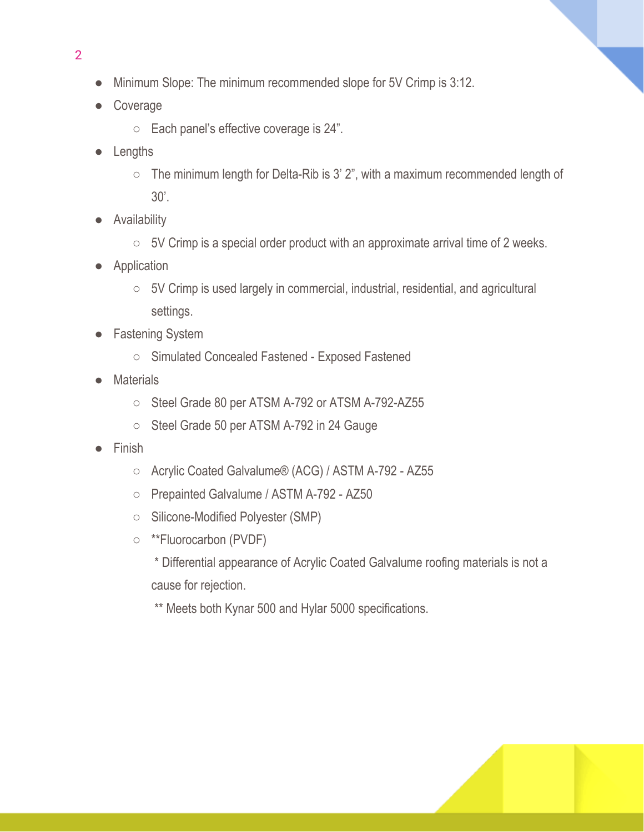- Minimum Slope: The minimum recommended slope for 5V Crimp is 3:12.
- Coverage

2

- Each panel's effective coverage is 24".
- Lengths
	- The minimum length for Delta-Rib is 3' 2", with a maximum recommended length of 30'.
- Availability
	- 5V Crimp is a special order product with an approximate arrival time of 2 weeks.
- Application
	- 5V Crimp is used largely in commercial, industrial, residential, and agricultural settings.
- **Fastening System** 
	- Simulated Concealed Fastened Exposed Fastened
- **Materials** 
	- Steel Grade 80 per ATSM A-792 or ATSM A-792-AZ55
	- Steel Grade 50 per ATSM A-792 in 24 Gauge
- **Finish** 
	- Acrylic Coated Galvalume® (ACG) / ASTM A-792 AZ55
	- Prepainted Galvalume / ASTM A-792 AZ50
	- Silicone-Modified Polyester (SMP)
	- \*\*Fluorocarbon (PVDF)
		- \* Differential appearance of Acrylic Coated Galvalume roofing materials is not a cause for rejection.
		- \*\* Meets both Kynar 500 and Hylar 5000 specifications.